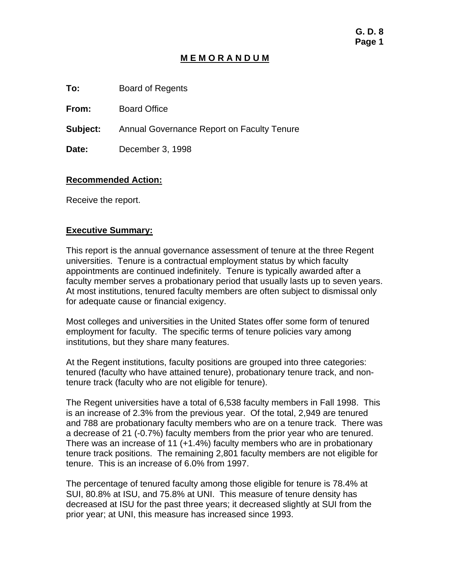### **M E M O R A N D U M**

**To:** Board of Regents

**From:** Board Office

**Subject:** Annual Governance Report on Faculty Tenure

**Date:** December 3, 1998

### **Recommended Action:**

Receive the report.

#### **Executive Summary:**

This report is the annual governance assessment of tenure at the three Regent universities. Tenure is a contractual employment status by which faculty appointments are continued indefinitely. Tenure is typically awarded after a faculty member serves a probationary period that usually lasts up to seven years. At most institutions, tenured faculty members are often subject to dismissal only for adequate cause or financial exigency.

Most colleges and universities in the United States offer some form of tenured employment for faculty. The specific terms of tenure policies vary among institutions, but they share many features.

At the Regent institutions, faculty positions are grouped into three categories: tenured (faculty who have attained tenure), probationary tenure track, and nontenure track (faculty who are not eligible for tenure).

The Regent universities have a total of 6,538 faculty members in Fall 1998. This is an increase of 2.3% from the previous year. Of the total, 2,949 are tenured and 788 are probationary faculty members who are on a tenure track. There was a decrease of 21 (-0.7%) faculty members from the prior year who are tenured. There was an increase of 11 (+1.4%) faculty members who are in probationary tenure track positions. The remaining 2,801 faculty members are not eligible for tenure. This is an increase of 6.0% from 1997.

The percentage of tenured faculty among those eligible for tenure is 78.4% at SUI, 80.8% at ISU, and 75.8% at UNI. This measure of tenure density has decreased at ISU for the past three years; it decreased slightly at SUI from the prior year; at UNI, this measure has increased since 1993.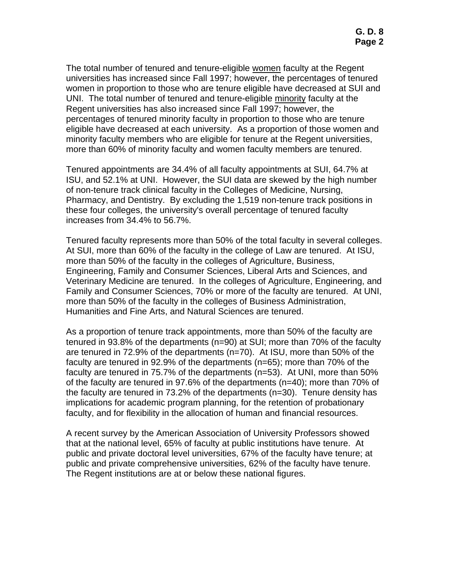The total number of tenured and tenure-eligible women faculty at the Regent universities has increased since Fall 1997; however, the percentages of tenured women in proportion to those who are tenure eligible have decreased at SUI and UNI. The total number of tenured and tenure-eligible minority faculty at the Regent universities has also increased since Fall 1997; however, the percentages of tenured minority faculty in proportion to those who are tenure eligible have decreased at each university. As a proportion of those women and minority faculty members who are eligible for tenure at the Regent universities, more than 60% of minority faculty and women faculty members are tenured.

Tenured appointments are 34.4% of all faculty appointments at SUI, 64.7% at ISU, and 52.1% at UNI. However, the SUI data are skewed by the high number of non-tenure track clinical faculty in the Colleges of Medicine, Nursing, Pharmacy, and Dentistry. By excluding the 1,519 non-tenure track positions in these four colleges, the university's overall percentage of tenured faculty increases from 34.4% to 56.7%.

Tenured faculty represents more than 50% of the total faculty in several colleges. At SUI, more than 60% of the faculty in the college of Law are tenured. At ISU, more than 50% of the faculty in the colleges of Agriculture, Business, Engineering, Family and Consumer Sciences, Liberal Arts and Sciences, and Veterinary Medicine are tenured. In the colleges of Agriculture, Engineering, and Family and Consumer Sciences, 70% or more of the faculty are tenured. At UNI, more than 50% of the faculty in the colleges of Business Administration, Humanities and Fine Arts, and Natural Sciences are tenured.

As a proportion of tenure track appointments, more than 50% of the faculty are tenured in 93.8% of the departments (n=90) at SUI; more than 70% of the faculty are tenured in 72.9% of the departments (n=70). At ISU, more than 50% of the faculty are tenured in 92.9% of the departments (n=65); more than 70% of the faculty are tenured in 75.7% of the departments (n=53). At UNI, more than 50% of the faculty are tenured in 97.6% of the departments (n=40); more than 70% of the faculty are tenured in 73.2% of the departments (n=30). Tenure density has implications for academic program planning, for the retention of probationary faculty, and for flexibility in the allocation of human and financial resources.

A recent survey by the American Association of University Professors showed that at the national level, 65% of faculty at public institutions have tenure. At public and private doctoral level universities, 67% of the faculty have tenure; at public and private comprehensive universities, 62% of the faculty have tenure. The Regent institutions are at or below these national figures.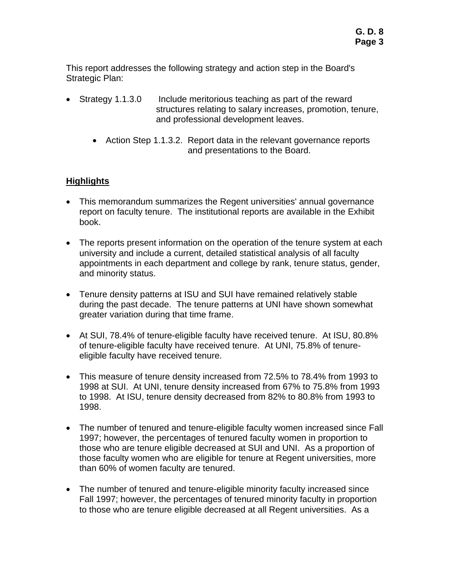This report addresses the following strategy and action step in the Board's Strategic Plan:

- Strategy 1.1.3.0 Include meritorious teaching as part of the reward structures relating to salary increases, promotion, tenure, and professional development leaves.
	- Action Step 1.1.3.2. Report data in the relevant governance reports and presentations to the Board.

# **Highlights**

- This memorandum summarizes the Regent universities' annual governance report on faculty tenure. The institutional reports are available in the Exhibit book.
- The reports present information on the operation of the tenure system at each university and include a current, detailed statistical analysis of all faculty appointments in each department and college by rank, tenure status, gender, and minority status.
- Tenure density patterns at ISU and SUI have remained relatively stable during the past decade. The tenure patterns at UNI have shown somewhat greater variation during that time frame.
- At SUI, 78.4% of tenure-eligible faculty have received tenure. At ISU, 80.8% of tenure-eligible faculty have received tenure. At UNI, 75.8% of tenureeligible faculty have received tenure.
- This measure of tenure density increased from 72.5% to 78.4% from 1993 to 1998 at SUI. At UNI, tenure density increased from 67% to 75.8% from 1993 to 1998. At ISU, tenure density decreased from 82% to 80.8% from 1993 to 1998.
- The number of tenured and tenure-eligible faculty women increased since Fall 1997; however, the percentages of tenured faculty women in proportion to those who are tenure eligible decreased at SUI and UNI. As a proportion of those faculty women who are eligible for tenure at Regent universities, more than 60% of women faculty are tenured.
- The number of tenured and tenure-eligible minority faculty increased since Fall 1997; however, the percentages of tenured minority faculty in proportion to those who are tenure eligible decreased at all Regent universities. As a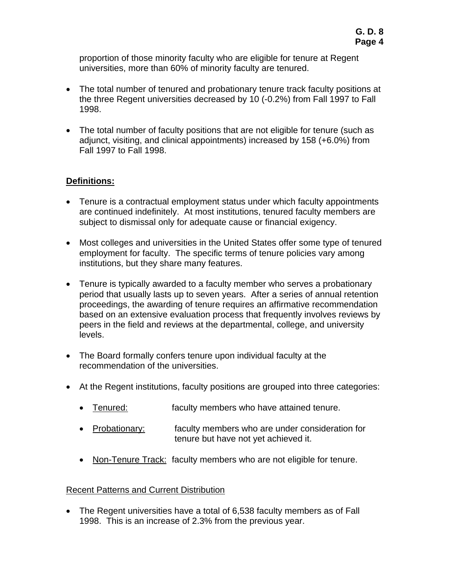proportion of those minority faculty who are eligible for tenure at Regent universities, more than 60% of minority faculty are tenured.

- The total number of tenured and probationary tenure track faculty positions at the three Regent universities decreased by 10 (-0.2%) from Fall 1997 to Fall 1998.
- The total number of faculty positions that are not eligible for tenure (such as adjunct, visiting, and clinical appointments) increased by 158 (+6.0%) from Fall 1997 to Fall 1998.

# **Definitions:**

- Tenure is a contractual employment status under which faculty appointments are continued indefinitely. At most institutions, tenured faculty members are subject to dismissal only for adequate cause or financial exigency.
- Most colleges and universities in the United States offer some type of tenured employment for faculty. The specific terms of tenure policies vary among institutions, but they share many features.
- Tenure is typically awarded to a faculty member who serves a probationary period that usually lasts up to seven years. After a series of annual retention proceedings, the awarding of tenure requires an affirmative recommendation based on an extensive evaluation process that frequently involves reviews by peers in the field and reviews at the departmental, college, and university levels.
- The Board formally confers tenure upon individual faculty at the recommendation of the universities.
- At the Regent institutions, faculty positions are grouped into three categories:
	- Tenured: faculty members who have attained tenure.
	- Probationary: faculty members who are under consideration for tenure but have not yet achieved it.
	- Non-Tenure Track: faculty members who are not eligible for tenure.

### Recent Patterns and Current Distribution

• The Regent universities have a total of 6,538 faculty members as of Fall 1998. This is an increase of 2.3% from the previous year.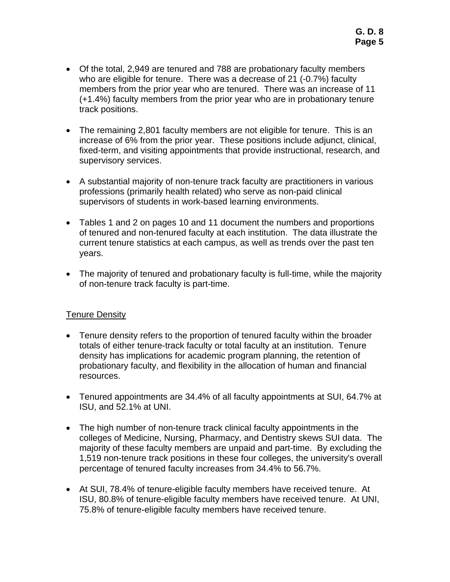- Of the total, 2,949 are tenured and 788 are probationary faculty members who are eligible for tenure. There was a decrease of 21 (-0.7%) faculty members from the prior year who are tenured. There was an increase of 11 (+1.4%) faculty members from the prior year who are in probationary tenure track positions.
- The remaining 2,801 faculty members are not eligible for tenure. This is an increase of 6% from the prior year. These positions include adjunct, clinical, fixed-term, and visiting appointments that provide instructional, research, and supervisory services.
- A substantial majority of non-tenure track faculty are practitioners in various professions (primarily health related) who serve as non-paid clinical supervisors of students in work-based learning environments.
- Tables 1 and 2 on pages 10 and 11 document the numbers and proportions of tenured and non-tenured faculty at each institution. The data illustrate the current tenure statistics at each campus, as well as trends over the past ten years.
- The majority of tenured and probationary faculty is full-time, while the majority of non-tenure track faculty is part-time.

# Tenure Density

- Tenure density refers to the proportion of tenured faculty within the broader totals of either tenure-track faculty or total faculty at an institution. Tenure density has implications for academic program planning, the retention of probationary faculty, and flexibility in the allocation of human and financial resources.
- Tenured appointments are 34.4% of all faculty appointments at SUI, 64.7% at ISU, and 52.1% at UNI.
- The high number of non-tenure track clinical faculty appointments in the colleges of Medicine, Nursing, Pharmacy, and Dentistry skews SUI data. The majority of these faculty members are unpaid and part-time. By excluding the 1,519 non-tenure track positions in these four colleges, the university's overall percentage of tenured faculty increases from 34.4% to 56.7%.
- At SUI, 78.4% of tenure-eligible faculty members have received tenure. At ISU, 80.8% of tenure-eligible faculty members have received tenure. At UNI, 75.8% of tenure-eligible faculty members have received tenure.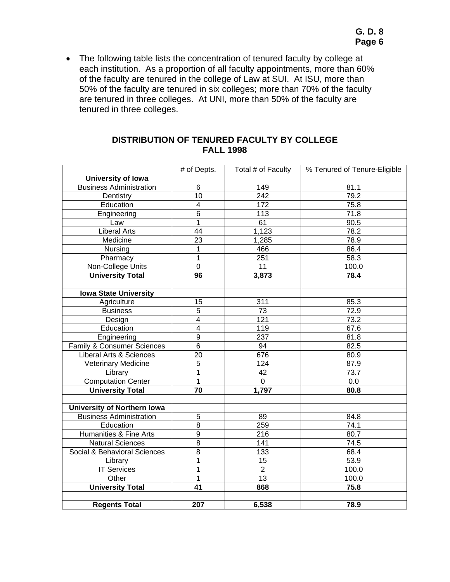• The following table lists the concentration of tenured faculty by college at each institution. As a proportion of all faculty appointments, more than 60% of the faculty are tenured in the college of Law at SUI. At ISU, more than 50% of the faculty are tenured in six colleges; more than 70% of the faculty are tenured in three colleges. At UNI, more than 50% of the faculty are tenured in three colleges.

| <b>DISTRIBUTION OF TENURED FACULTY BY COLLEGE</b> |
|---------------------------------------------------|
| <b>FALL 1998</b>                                  |

|                                    | # of Depts.     | Total # of Faculty | % Tenured of Tenure-Eligible |
|------------------------------------|-----------------|--------------------|------------------------------|
| University of Iowa                 |                 |                    |                              |
| <b>Business Administration</b>     | 6               | 149                | 81.1                         |
| Dentistry                          | $\overline{10}$ | 242                | 79.2                         |
| Education                          | $\overline{4}$  | $\overline{172}$   | 75.8                         |
| Engineering                        | $\overline{6}$  | 113                | 71.8                         |
| Law                                | $\overline{1}$  | 61                 | 90.5                         |
| <b>Liberal Arts</b>                | $\overline{44}$ | 1,123              | 78.2                         |
| Medicine                           | $\overline{23}$ | 1,285              | 78.9                         |
| Nursing                            | 1               | 466                | 86.4                         |
| Pharmacy                           | 1               | 251                | 58.3                         |
| Non-College Units                  | $\overline{0}$  | 11                 | $100.\overline{0}$           |
| <b>University Total</b>            | 96              | 3,873              | 78.4                         |
|                                    |                 |                    |                              |
| <b>Iowa State University</b>       |                 |                    |                              |
| Agriculture                        | 15              | 311                | 85.3                         |
| <b>Business</b>                    | $\overline{5}$  | 73                 | 72.9                         |
| Design                             | $\overline{4}$  | 121                | 73.2                         |
| Education                          | $\overline{4}$  | 119                | 67.6                         |
| Engineering                        | $\overline{9}$  | 237                | 81.8                         |
| Family & Consumer Sciences         | $\overline{6}$  | 94                 | 82.5                         |
| <b>Liberal Arts &amp; Sciences</b> | 20              | 676                | 80.9                         |
| Veterinary Medicine                | 5               | 124                | 87.9                         |
| Library                            | 1               | 42                 | 73.7                         |
| <b>Computation Center</b>          | 1               | $\pmb{0}$          | 0.0                          |
| <b>University Total</b>            | 70              | 1,797              | 80.8                         |
|                                    |                 |                    |                              |
| <b>University of Northern Iowa</b> |                 |                    |                              |
| <b>Business Administration</b>     | 5               | 89                 | 84.8                         |
| Education                          | $\overline{8}$  | 259                | 74.1                         |
| Humanities & Fine Arts             | $\overline{9}$  | $\overline{216}$   | 80.7                         |
| <b>Natural Sciences</b>            | $\overline{8}$  | 141                | 74.5                         |
| Social & Behavioral Sciences       | 8               | 133                | 68.4                         |
| Library                            | 1               | 15                 | 53.9                         |
| <b>IT Services</b>                 | 1               | $\overline{2}$     | 100.0                        |
| Other                              | 1               | 13                 | 100.0                        |
| <b>University Total</b>            | 41              | 868                | 75.8                         |
|                                    |                 |                    |                              |
| <b>Regents Total</b>               | 207             | 6,538              | 78.9                         |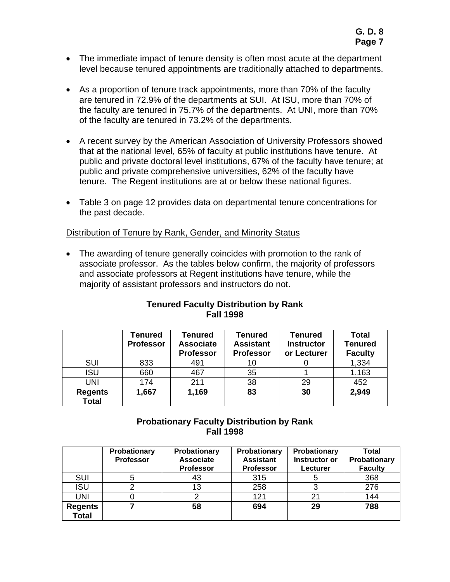- The immediate impact of tenure density is often most acute at the department level because tenured appointments are traditionally attached to departments.
- As a proportion of tenure track appointments, more than 70% of the faculty are tenured in 72.9% of the departments at SUI. At ISU, more than 70% of the faculty are tenured in 75.7% of the departments. At UNI, more than 70% of the faculty are tenured in 73.2% of the departments.
- A recent survey by the American Association of University Professors showed that at the national level, 65% of faculty at public institutions have tenure. At public and private doctoral level institutions, 67% of the faculty have tenure; at public and private comprehensive universities, 62% of the faculty have tenure. The Regent institutions are at or below these national figures.
- Table 3 on page 12 provides data on departmental tenure concentrations for the past decade.

#### Distribution of Tenure by Rank, Gender, and Minority Status

• The awarding of tenure generally coincides with promotion to the rank of associate professor. As the tables below confirm, the majority of professors and associate professors at Regent institutions have tenure, while the majority of assistant professors and instructors do not.

#### **Tenured Faculty Distribution by Rank Fall 1998**

|                                | Tenured<br><b>Professor</b> | <b>Tenured</b><br><b>Associate</b><br><b>Professor</b> | <b>Tenured</b><br><b>Assistant</b><br><b>Professor</b> | <b>Tenured</b><br><b>Instructor</b><br>or Lecturer | <b>Total</b><br><b>Tenured</b><br><b>Faculty</b> |
|--------------------------------|-----------------------------|--------------------------------------------------------|--------------------------------------------------------|----------------------------------------------------|--------------------------------------------------|
| <b>SUI</b>                     | 833                         | 491                                                    | 10                                                     |                                                    | 1,334                                            |
| <b>ISU</b>                     | 660                         | 467                                                    | 35                                                     |                                                    | 1,163                                            |
| <b>UNI</b>                     | 174                         | 211                                                    | 38                                                     | 29                                                 | 452                                              |
| <b>Regents</b><br><b>Total</b> | 1,667                       | 1,169                                                  | 83                                                     | 30                                                 | 2,949                                            |

### **Probationary Faculty Distribution by Rank Fall 1998**

|                                | Probationary<br><b>Professor</b> | Probationary<br><b>Associate</b><br><b>Professor</b> | Probationary<br><b>Assistant</b><br><b>Professor</b> | Probationary<br>Instructor or<br>Lecturer | <b>Total</b><br>Probationary<br><b>Faculty</b> |
|--------------------------------|----------------------------------|------------------------------------------------------|------------------------------------------------------|-------------------------------------------|------------------------------------------------|
| <b>SUI</b>                     | b                                | 43                                                   | 315                                                  | 5                                         | 368                                            |
| <b>ISU</b>                     |                                  | 13                                                   | 258                                                  |                                           | 276                                            |
| <b>UNI</b>                     |                                  |                                                      | 121                                                  | 21                                        | 144                                            |
| <b>Regents</b><br><b>Total</b> |                                  | 58                                                   | 694                                                  | 29                                        | 788                                            |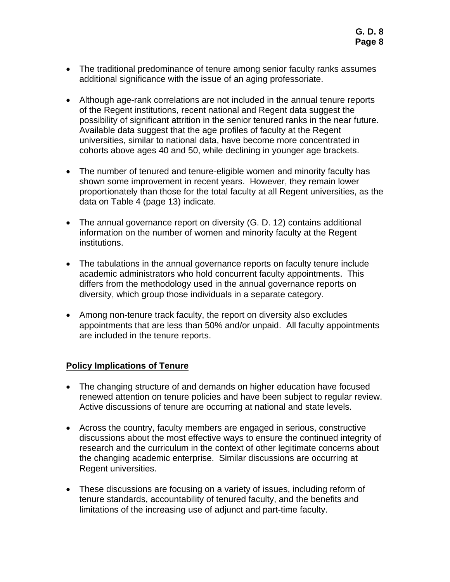- The traditional predominance of tenure among senior faculty ranks assumes additional significance with the issue of an aging professoriate.
- Although age-rank correlations are not included in the annual tenure reports of the Regent institutions, recent national and Regent data suggest the possibility of significant attrition in the senior tenured ranks in the near future. Available data suggest that the age profiles of faculty at the Regent universities, similar to national data, have become more concentrated in cohorts above ages 40 and 50, while declining in younger age brackets.
- The number of tenured and tenure-eligible women and minority faculty has shown some improvement in recent years. However, they remain lower proportionately than those for the total faculty at all Regent universities, as the data on Table 4 (page 13) indicate.
- The annual governance report on diversity (G. D. 12) contains additional information on the number of women and minority faculty at the Regent institutions.
- The tabulations in the annual governance reports on faculty tenure include academic administrators who hold concurrent faculty appointments. This differs from the methodology used in the annual governance reports on diversity, which group those individuals in a separate category.
- Among non-tenure track faculty, the report on diversity also excludes appointments that are less than 50% and/or unpaid. All faculty appointments are included in the tenure reports.

# **Policy Implications of Tenure**

- The changing structure of and demands on higher education have focused renewed attention on tenure policies and have been subject to regular review. Active discussions of tenure are occurring at national and state levels.
- Across the country, faculty members are engaged in serious, constructive discussions about the most effective ways to ensure the continued integrity of research and the curriculum in the context of other legitimate concerns about the changing academic enterprise. Similar discussions are occurring at Regent universities.
- These discussions are focusing on a variety of issues, including reform of tenure standards, accountability of tenured faculty, and the benefits and limitations of the increasing use of adjunct and part-time faculty.